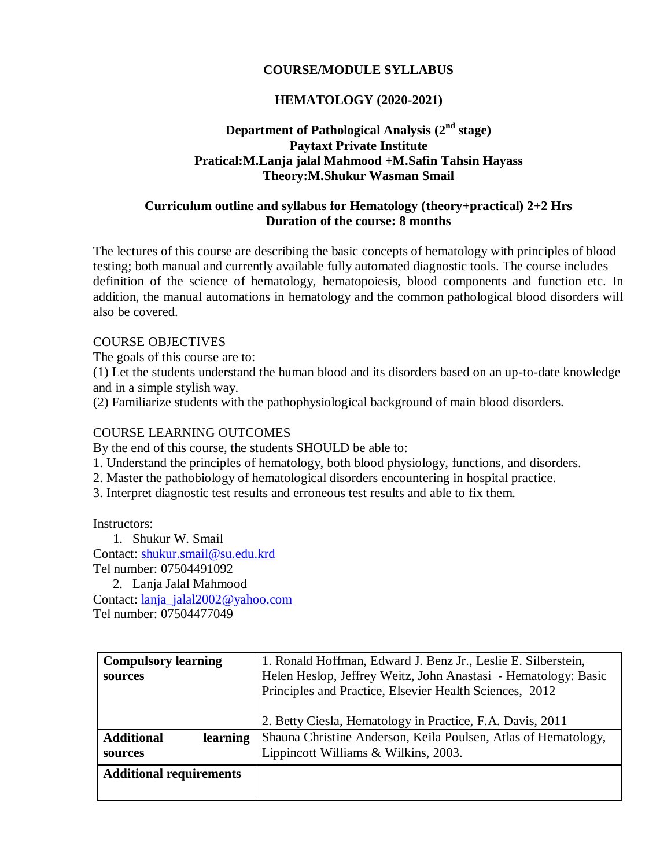## **COURSE/MODULE SYLLABUS**

## **HEMATOLOGY (2020-2021)**

### **Department of Pathological Analysis (2nd stage) Paytaxt Private Institute Pratical:M.Lanja jalal Mahmood +M.Safin Tahsin Hayass Theory:M.Shukur Wasman Smail**

#### **Curriculum outline and syllabus for Hematology (theory+practical) 2+2 Hrs Duration of the course: 8 months**

The lectures of this course are describing the basic concepts of hematology with principles of blood testing; both manual and currently available fully automated diagnostic tools. The course includes definition of the science of hematology, hematopoiesis, blood components and function etc. In addition, the manual automations in hematology and the common pathological blood disorders will also be covered.

#### COURSE OBJECTIVES

The goals of this course are to:

(1) Let the students understand the human blood and its disorders based on an up-to-date knowledge and in a simple stylish way.

(2) Familiarize students with the pathophysiological background of main blood disorders.

### COURSE LEARNING OUTCOMES

By the end of this course, the students SHOULD be able to:

1. Understand the principles of hematology, both blood physiology, functions, and disorders.

- 2. Master the pathobiology of hematological disorders encountering in hospital practice.
- 3. Interpret diagnostic test results and erroneous test results and able to fix them.

Instructors:

1. Shukur W. Smail Contact: [shukur.smail@su.edu.krd](mailto:shukur.smail@su.edu.krd) Tel number: 07504491092 2. Lanja Jalal Mahmood Contact: [lanja\\_jalal2002@yahoo.com](mailto:lanja_jalal2002@yahoo.com) Tel number: 07504477049

| <b>Compulsory learning</b>     | 1. Ronald Hoffman, Edward J. Benz Jr., Leslie E. Silberstein,  |
|--------------------------------|----------------------------------------------------------------|
| sources                        | Helen Heslop, Jeffrey Weitz, John Anastasi - Hematology: Basic |
|                                | Principles and Practice, Elsevier Health Sciences, 2012        |
|                                |                                                                |
|                                | 2. Betty Ciesla, Hematology in Practice, F.A. Davis, 2011      |
| <b>Additional</b><br>learning  | Shauna Christine Anderson, Keila Poulsen, Atlas of Hematology, |
| sources                        | Lippincott Williams & Wilkins, 2003.                           |
| <b>Additional requirements</b> |                                                                |
|                                |                                                                |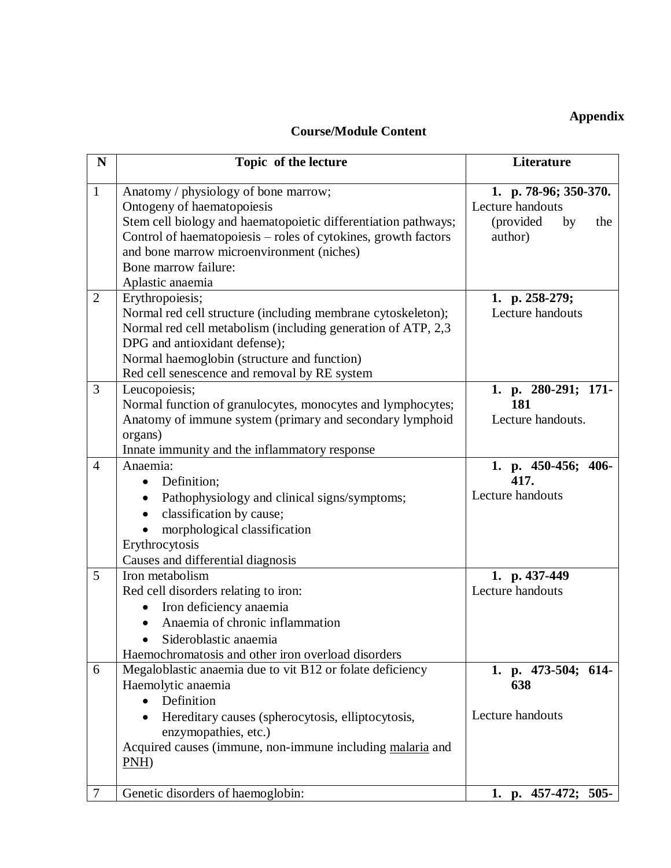## **Appendix**

# **Course/Module Content**

| N              | Topic of the lecture                                                                          | Literature             |
|----------------|-----------------------------------------------------------------------------------------------|------------------------|
| $\mathbf{1}$   | Anatomy / physiology of bone marrow;                                                          | 1. p. 78-96; 350-370.  |
|                | Ontogeny of haematopoiesis                                                                    | Lecture handouts       |
|                | Stem cell biology and haematopoietic differentiation pathways;                                | (provided<br>by<br>the |
|                | Control of haematopoiesis - roles of cytokines, growth factors                                | author)                |
|                | and bone marrow microenvironment (niches)                                                     |                        |
|                | Bone marrow failure:                                                                          |                        |
|                | Aplastic anaemia                                                                              |                        |
| $\overline{2}$ | Erythropoiesis;                                                                               | 1. p. 258-279;         |
|                | Normal red cell structure (including membrane cytoskeleton);                                  | Lecture handouts       |
|                | Normal red cell metabolism (including generation of ATP, 2,3<br>DPG and antioxidant defense); |                        |
|                | Normal haemoglobin (structure and function)                                                   |                        |
|                | Red cell senescence and removal by RE system                                                  |                        |
| 3              | Leucopoiesis;                                                                                 | 1. p. 280-291; 171-    |
|                | Normal function of granulocytes, monocytes and lymphocytes;                                   | 181                    |
|                | Anatomy of immune system (primary and secondary lymphoid                                      | Lecture handouts.      |
|                | organs)                                                                                       |                        |
|                | Innate immunity and the inflammatory response                                                 |                        |
| $\overline{4}$ | Anaemia:                                                                                      | 1. p. 450-456; 406-    |
|                | Definition;<br>$\bullet$                                                                      | 417.                   |
|                | Pathophysiology and clinical signs/symptoms;<br>$\bullet$                                     | Lecture handouts       |
|                | classification by cause;<br>$\bullet$                                                         |                        |
|                | morphological classification                                                                  |                        |
|                | Erythrocytosis                                                                                |                        |
|                | Causes and differential diagnosis                                                             |                        |
| 5              | Iron metabolism                                                                               | 1. p. 437-449          |
|                | Red cell disorders relating to iron:                                                          | Lecture handouts       |
|                | Iron deficiency anaemia<br>$\bullet$                                                          |                        |
|                | Anaemia of chronic inflammation                                                               |                        |
|                | Sideroblastic anaemia                                                                         |                        |
|                | Haemochromatosis and other iron overload disorders                                            |                        |
| 6              | Megaloblastic anaemia due to vit B12 or folate deficiency<br>Haemolytic anaemia               | 1. p. 473-504; 614-    |
|                | Definition<br>$\bullet$                                                                       | 638                    |
|                | Hereditary causes (spherocytosis, elliptocytosis,                                             | Lecture handouts       |
|                | enzymopathies, etc.)                                                                          |                        |
|                | Acquired causes (immune, non-immune including malaria and                                     |                        |
|                | $PNH$ )                                                                                       |                        |
|                |                                                                                               |                        |
| $\tau$         | Genetic disorders of haemoglobin:                                                             | 1. p. 457-472; 505-    |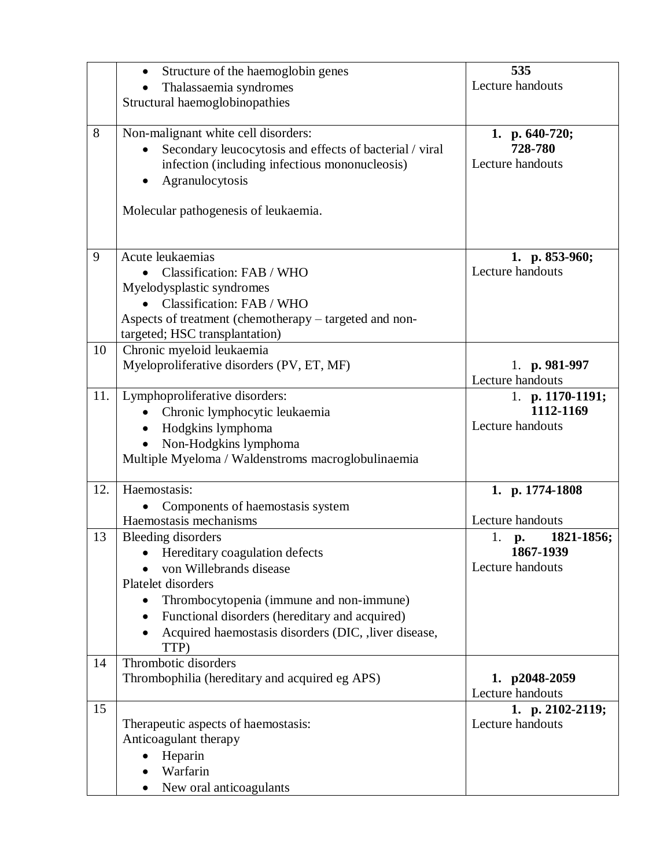|     | Structure of the haemoglobin genes<br>$\bullet$             | 535                    |
|-----|-------------------------------------------------------------|------------------------|
|     | Thalassaemia syndromes                                      | Lecture handouts       |
|     | Structural haemoglobinopathies                              |                        |
|     |                                                             |                        |
| 8   | Non-malignant white cell disorders:                         | 1. p. 640-720;         |
|     |                                                             | 728-780                |
|     | Secondary leucocytosis and effects of bacterial / viral     | Lecture handouts       |
|     | infection (including infectious mononucleosis)              |                        |
|     | Agranulocytosis<br>٠                                        |                        |
|     |                                                             |                        |
|     | Molecular pathogenesis of leukaemia.                        |                        |
|     |                                                             |                        |
|     |                                                             |                        |
| 9   | Acute leukaemias                                            | 1. p. $853-960$ ;      |
|     |                                                             | Lecture handouts       |
|     | Classification: FAB / WHO                                   |                        |
|     | Myelodysplastic syndromes                                   |                        |
|     | Classification: FAB / WHO                                   |                        |
|     | Aspects of treatment (chemotherapy - targeted and non-      |                        |
|     | targeted; HSC transplantation)                              |                        |
| 10  | Chronic myeloid leukaemia                                   |                        |
|     | Myeloproliferative disorders (PV, ET, MF)                   | 1. $p. 981-997$        |
|     |                                                             | Lecture handouts       |
| 11. | Lymphoproliferative disorders:                              |                        |
|     |                                                             | 1. p. $1170-1191$ ;    |
|     | Chronic lymphocytic leukaemia<br>$\bullet$                  | 1112-1169              |
|     | Hodgkins lymphoma<br>$\bullet$                              | Lecture handouts       |
|     | Non-Hodgkins lymphoma<br>$\bullet$                          |                        |
|     | Multiple Myeloma / Waldenstroms macroglobulinaemia          |                        |
|     |                                                             |                        |
| 12. | Haemostasis:                                                | 1. p. 1774-1808        |
|     | Components of haemostasis system                            |                        |
|     | Haemostasis mechanisms                                      | Lecture handouts       |
|     |                                                             |                        |
| 13  | Bleeding disorders                                          | 1821-1856;<br>1.<br>p. |
|     | Hereditary coagulation defects                              | 1867-1939              |
|     | von Willebrands disease                                     | Lecture handouts       |
|     | Platelet disorders                                          |                        |
|     | Thrombocytopenia (immune and non-immune)                    |                        |
|     | Functional disorders (hereditary and acquired)<br>$\bullet$ |                        |
|     | Acquired haemostasis disorders (DIC, , liver disease,       |                        |
|     |                                                             |                        |
|     | TTP)                                                        |                        |
| 14  | Thrombotic disorders                                        |                        |
|     | Thrombophilia (hereditary and acquired eg APS)              | 1. p2048-2059          |
|     |                                                             | Lecture handouts       |
| 15  |                                                             | 1. p. 2102-2119;       |
|     | Therapeutic aspects of haemostasis:                         | Lecture handouts       |
|     | Anticoagulant therapy                                       |                        |
|     | Heparin                                                     |                        |
|     | Warfarin                                                    |                        |
|     |                                                             |                        |
|     | New oral anticoagulants<br>$\bullet$                        |                        |